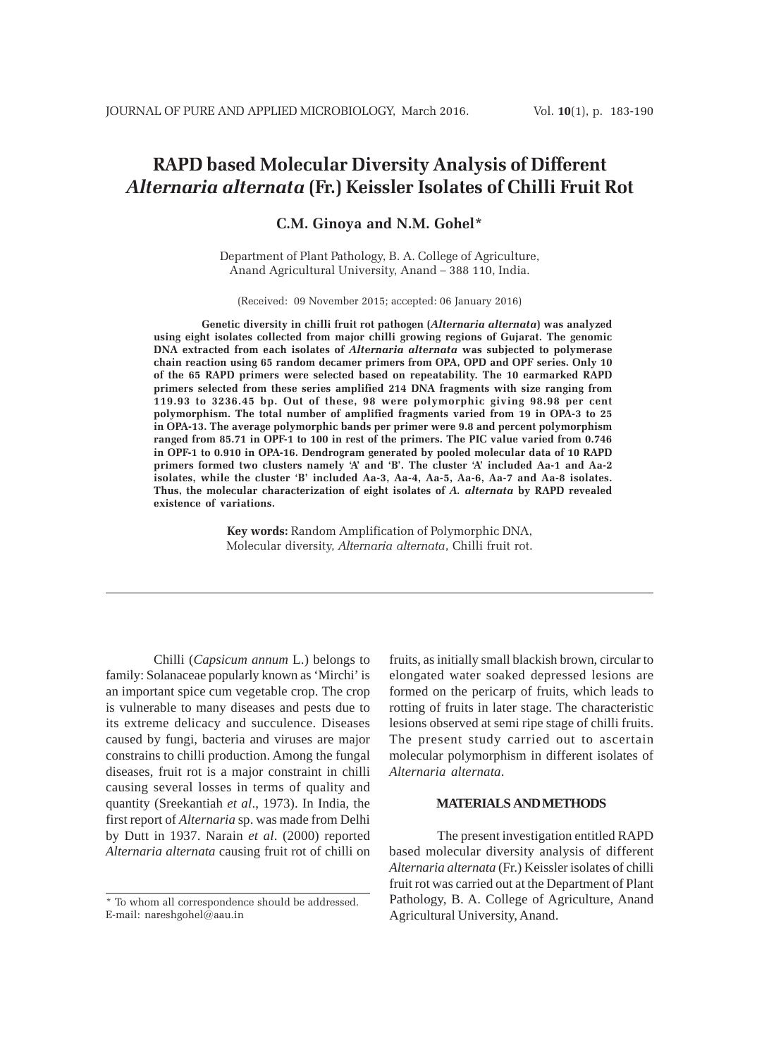# **RAPD based Molecular Diversity Analysis of Different** *Alternaria alternata* **(Fr.) Keissler Isolates of Chilli Fruit Rot**

# **C.M. Ginoya and N.M. Gohel\***

Department of Plant Pathology, B. A. College of Agriculture, Anand Agricultural University, Anand – 388 110, India.

(Received: 09 November 2015; accepted: 06 January 2016)

**Genetic diversity in chilli fruit rot pathogen (***Alternaria alternata***) was analyzed using eight isolates collected from major chilli growing regions of Gujarat. The genomic DNA extracted from each isolates of** *Alternaria alternata* **was subjected to polymerase chain reaction using 65 random decamer primers from OPA, OPD and OPF series. Only 10 of the 65 RAPD primers were selected based on repeatability. The 10 earmarked RAPD primers selected from these series amplified 214 DNA fragments with size ranging from 119.93 to 3236.45 bp. Out of these, 98 were polymorphic giving 98.98 per cent polymorphism. The total number of amplified fragments varied from 19 in OPA-3 to 25 in OPA-13. The average polymorphic bands per primer were 9.8 and percent polymorphism ranged from 85.71 in OPF-1 to 100 in rest of the primers. The PIC value varied from 0.746 in OPF-1 to 0.910 in OPA-16. Dendrogram generated by pooled molecular data of 10 RAPD primers formed two clusters namely 'A' and 'B'. The cluster 'A' included Aa-1 and Aa-2 isolates, while the cluster 'B' included Aa-3, Aa-4, Aa-5, Aa-6, Aa-7 and Aa-8 isolates. Thus, the molecular characterization of eight isolates of** *A. alternata* **by RAPD revealed existence of variations.**

> **Key words:** Random Amplification of Polymorphic DNA, Molecular diversity, *Alternaria alternata*, Chilli fruit rot.

Chilli (*Capsicum annum* L.) belongs to family: Solanaceae popularly known as 'Mirchi' is an important spice cum vegetable crop. The crop is vulnerable to many diseases and pests due to its extreme delicacy and succulence. Diseases caused by fungi, bacteria and viruses are major constrains to chilli production. Among the fungal diseases, fruit rot is a major constraint in chilli causing several losses in terms of quality and quantity (Sreekantiah *et al*., 1973). In India, the first report of *Alternaria* sp. was made from Delhi by Dutt in 1937. Narain *et al*. (2000) reported *Alternaria alternata* causing fruit rot of chilli on

fruits, as initially small blackish brown, circular to elongated water soaked depressed lesions are formed on the pericarp of fruits, which leads to rotting of fruits in later stage. The characteristic lesions observed at semi ripe stage of chilli fruits. The present study carried out to ascertain molecular polymorphism in different isolates of *Alternaria alternata*.

#### **MATERIALS AND METHODS**

The present investigation entitled RAPD based molecular diversity analysis of different *Alternaria alternata* (Fr.) Keissler isolates of chilli fruit rot was carried out at the Department of Plant Pathology, B. A. College of Agriculture, Anand Agricultural University, Anand.

<sup>\*</sup> To whom all correspondence should be addressed. E-mail: nareshgohel@aau.in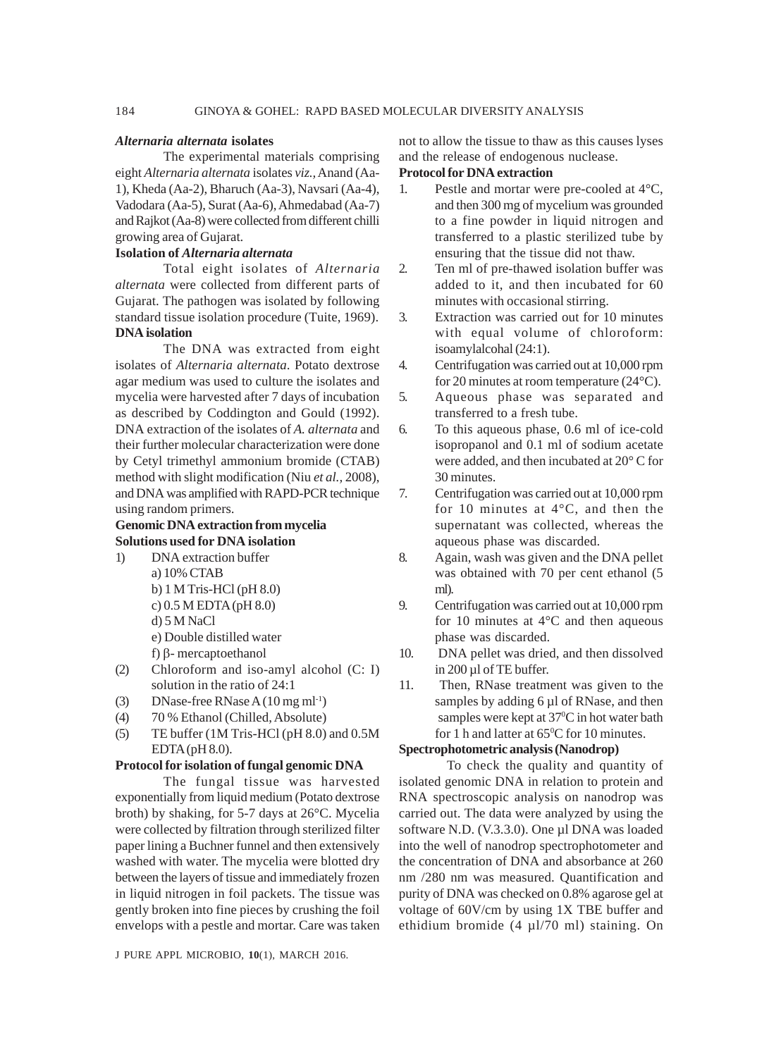#### *Alternaria alternata* **isolates**

The experimental materials comprising eight *Alternaria alternata* isolates *viz.,* Anand (Aa-1), Kheda (Aa-2), Bharuch (Aa-3), Navsari (Aa-4), Vadodara (Aa-5), Surat (Aa-6), Ahmedabad (Aa-7) and Rajkot (Aa-8) were collected from different chilli growing area of Gujarat.

#### **Isolation of** *Alternaria alternata*

Total eight isolates of *Alternaria alternata* were collected from different parts of Gujarat. The pathogen was isolated by following standard tissue isolation procedure (Tuite, 1969). **DNA isolation**

The DNA was extracted from eight isolates of *Alternaria alternata*. Potato dextrose agar medium was used to culture the isolates and mycelia were harvested after 7 days of incubation as described by Coddington and Gould (1992). DNA extraction of the isolates of *A. alternata* and their further molecular characterization were done by Cetyl trimethyl ammonium bromide (CTAB) method with slight modification (Niu *et al.,* 2008), and DNA was amplified with RAPD-PCR technique using random primers.

# **Genomic DNA extraction from mycelia Solutions used for DNA isolation**

- 1) DNA extraction buffer a) 10% CTAB b) 1 M Tris-HCl (pH 8.0) c) 0.5 M EDTA (pH 8.0) d) 5 M NaCl e) Double distilled water
	- f) β- mercaptoethanol
- (2) Chloroform and iso-amyl alcohol (C: I) solution in the ratio of 24:1
- (3) DNase-free RNase  $A(10 \text{ mg ml}^{-1})$
- (4) 70 % Ethanol (Chilled, Absolute)
- (5) TE buffer (1M Tris-HCl (pH 8.0) and 0.5M  $EDTA$  (pH 8.0).

#### **Protocol for isolation of fungal genomic DNA**

The fungal tissue was harvested exponentially from liquid medium (Potato dextrose broth) by shaking, for 5-7 days at 26°C. Mycelia were collected by filtration through sterilized filter paper lining a Buchner funnel and then extensively washed with water. The mycelia were blotted dry between the layers of tissue and immediately frozen in liquid nitrogen in foil packets. The tissue was gently broken into fine pieces by crushing the foil envelops with a pestle and mortar. Care was taken

J PURE APPL MICROBIO*,* **10**(1), MARCH 2016.

not to allow the tissue to thaw as this causes lyses and the release of endogenous nuclease.

#### **Protocol for DNA extraction**

- 1. Pestle and mortar were pre-cooled at 4°C, and then 300 mg of mycelium was grounded to a fine powder in liquid nitrogen and transferred to a plastic sterilized tube by ensuring that the tissue did not thaw.
- 2. Ten ml of pre-thawed isolation buffer was added to it, and then incubated for 60 minutes with occasional stirring.
- 3. Extraction was carried out for 10 minutes with equal volume of chloroform: isoamylalcohal (24:1).
- 4. Centrifugation was carried out at 10,000 rpm for 20 minutes at room temperature (24°C).
- 5. Aqueous phase was separated and transferred to a fresh tube.
- 6. To this aqueous phase, 0.6 ml of ice-cold isopropanol and 0.1 ml of sodium acetate were added, and then incubated at 20° C for 30 minutes.
- 7. Centrifugation was carried out at 10,000 rpm for 10 minutes at 4°C, and then the supernatant was collected, whereas the aqueous phase was discarded.
- 8. Again, wash was given and the DNA pellet was obtained with 70 per cent ethanol (5 ml).
- 9. Centrifugation was carried out at 10,000 rpm for 10 minutes at 4°C and then aqueous phase was discarded.
- 10. DNA pellet was dried, and then dissolved in 200 µl of TE buffer.
- 11. Then, RNase treatment was given to the samples by adding 6 µl of RNase, and then samples were kept at 37<sup>o</sup>C in hot water bath for 1 h and latter at  $65^{\circ}$ C for 10 minutes.

## **Spectrophotometric analysis (Nanodrop)**

To check the quality and quantity of isolated genomic DNA in relation to protein and RNA spectroscopic analysis on nanodrop was carried out. The data were analyzed by using the software N.D. (V.3.3.0). One µl DNA was loaded into the well of nanodrop spectrophotometer and the concentration of DNA and absorbance at 260 nm /280 nm was measured. Quantification and purity of DNA was checked on 0.8% agarose gel at voltage of 60V/cm by using 1X TBE buffer and ethidium bromide (4 µl/70 ml) staining. On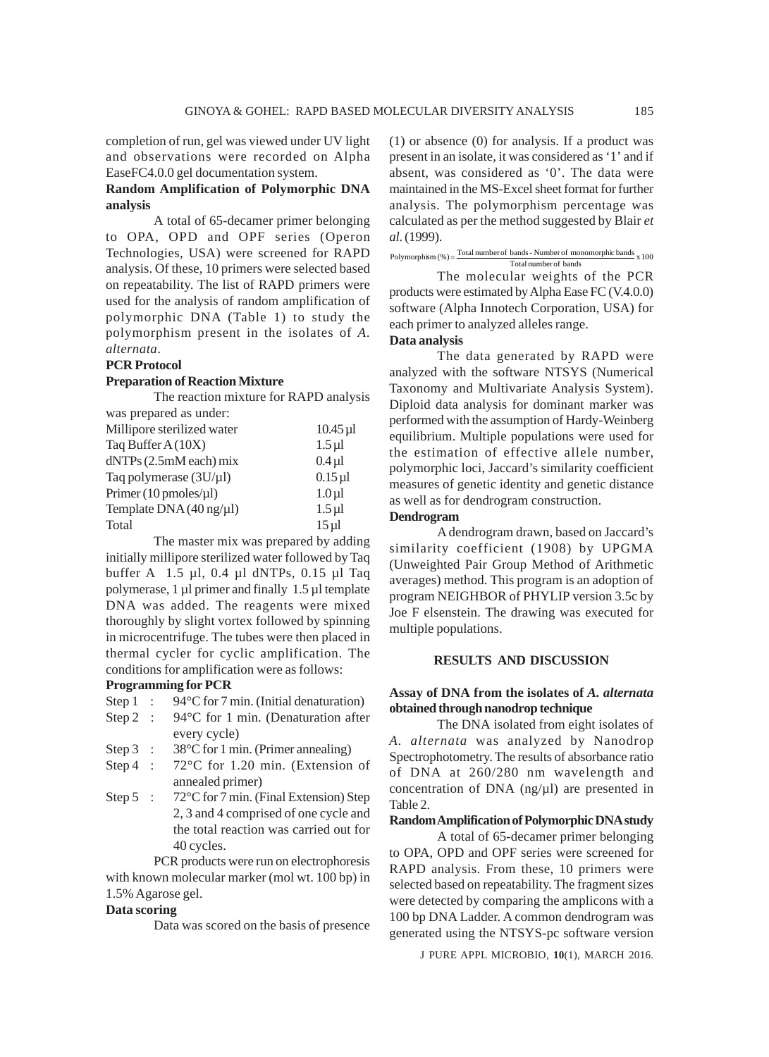completion of run, gel was viewed under UV light and observations were recorded on Alpha EaseFC4.0.0 gel documentation system.

## **Random Amplification of Polymorphic DNA analysis**

A total of 65-decamer primer belonging to OPA, OPD and OPF series (Operon Technologies, USA) were screened for RAPD analysis. Of these, 10 primers were selected based on repeatability. The list of RAPD primers were used for the analysis of random amplification of polymorphic DNA (Table 1) to study the polymorphism present in the isolates of *A. alternata*.

#### **PCR Protocol**

# **Preparation of Reaction Mixture**

The reaction mixture for RAPD analysis was prepared as under:

| Millipore sterilized water                 | $10.45 \,\mathrm{\mu}$ |
|--------------------------------------------|------------------------|
| Taq Buffer A (10X)                         | $1.5 \mu$ l            |
| dNTPs (2.5mM each) mix                     | $0.4$ $\mu$            |
| Taq polymerase $(3U/\mu l)$                | $0.15 \mu$             |
| Primer $(10 \text{ pmoles/}\mu\text{l})$   | $1.0 \mu l$            |
| Template DNA $(40 \text{ ng}/\mu\text{l})$ | $1.5 \mu$ l            |
| Total                                      | $15 \mu$ l             |

The master mix was prepared by adding initially millipore sterilized water followed by Taq buffer A 1.5 µl, 0.4 µl dNTPs, 0.15 µl Taq polymerase, 1 µl primer and finally 1.5 µl template DNA was added. The reagents were mixed thoroughly by slight vortex followed by spinning in microcentrifuge. The tubes were then placed in thermal cycler for cyclic amplification. The conditions for amplification were as follows:

#### **Programming for PCR**

- Step 1 :  $94^{\circ}$ C for 7 min. (Initial denaturation)
- Step 2 : 94°C for 1 min. (Denaturation after every cycle)
- Step 3 : 38°C for 1 min. (Primer annealing)
- Step 4 : 72°C for 1.20 min. (Extension of annealed primer)
- Step 5 : 72°C for 7 min. (Final Extension) Step 2, 3 and 4 comprised of one cycle and the total reaction was carried out for 40 cycles.

PCR products were run on electrophoresis with known molecular marker (mol wt. 100 bp) in 1.5% Agarose gel.

## **Data scoring**

Data was scored on the basis of presence

(1) or absence (0) for analysis. If a product was present in an isolate, it was considered as '1' and if absent, was considered as '0'. The data were maintained in the MS-Excel sheet format for further analysis. The polymorphism percentage was calculated as per the method suggested by Blair *et al*. (1999).

Polymorphism  $\textcircled{\tiny{*}}$  =  $\frac{\text{Total number of bands - Number of monomorphic bands}}{\text{Total number of bands}}$  x 100

The molecular weights of the PCR products were estimated by Alpha Ease FC (V.4.0.0) software (Alpha Innotech Corporation, USA) for each primer to analyzed alleles range.

# **Data analysis**

The data generated by RAPD were analyzed with the software NTSYS (Numerical Taxonomy and Multivariate Analysis System). Diploid data analysis for dominant marker was performed with the assumption of Hardy-Weinberg equilibrium. Multiple populations were used for the estimation of effective allele number, polymorphic loci, Jaccard's similarity coefficient measures of genetic identity and genetic distance as well as for dendrogram construction.

#### **Dendrogram**

A dendrogram drawn, based on Jaccard's similarity coefficient (1908) by UPGMA (Unweighted Pair Group Method of Arithmetic averages) method. This program is an adoption of program NEIGHBOR of PHYLIP version 3.5c by Joe F elsenstein. The drawing was executed for multiple populations.

## **RESULTS AND DISCUSSION**

## **Assay of DNA from the isolates of** *A. alternata* **obtained through nanodrop technique**

The DNA isolated from eight isolates of *A. alternata* was analyzed by Nanodrop Spectrophotometry. The results of absorbance ratio of DNA at 260/280 nm wavelength and concentration of DNA (ng/µl) are presented in Table 2.

#### **Random Amplification of Polymorphic DNA study**

A total of 65-decamer primer belonging to OPA, OPD and OPF series were screened for RAPD analysis. From these, 10 primers were selected based on repeatability. The fragment sizes were detected by comparing the amplicons with a 100 bp DNA Ladder. A common dendrogram was generated using the NTSYS-pc software version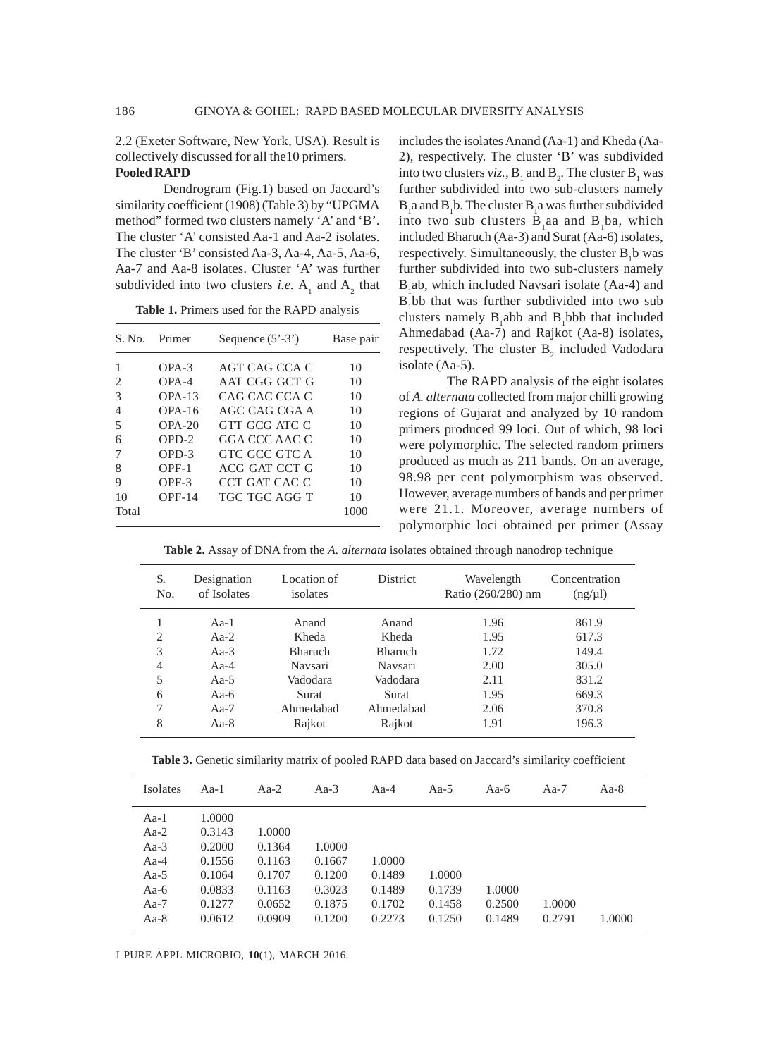2.2 (Exeter Software, New York, USA). Result is collectively discussed for all the10 primers.

#### **Pooled RAPD**

Dendrogram (Fig.1) based on Jaccard's similarity coefficient (1908) (Table 3) by "UPGMA method" formed two clusters namely 'A' and 'B'. The cluster 'A' consisted Aa-1 and Aa-2 isolates. The cluster 'B' consisted Aa-3, Aa-4, Aa-5, Aa-6, Aa-7 and Aa-8 isolates. Cluster 'A' was further subdivided into two clusters *i.e.*  $A_1$  and  $A_2$  that

| S. No.                      | Primer   | Sequence $(5'$ -3') | Base pair |  |
|-----------------------------|----------|---------------------|-----------|--|
|                             | $OPA-3$  | AGT CAG CCA C       | 10        |  |
| $\mathcal{D}_{\mathcal{L}}$ | $OPA-4$  | AAT CGG GCT G       | 10        |  |
| 3                           | $OPA-13$ | CAG CAC CCA C       | 10        |  |
| 4                           | $OPA-16$ | AGC CAG CGA A       | 10        |  |
| 5                           | $OPA-20$ | GTT GCG ATC C       | 10        |  |
| 6                           | $OPD-2$  | GGA CCC AAC C       | 10        |  |
| 7                           | $OPD-3$  | GTC GCC GTC A       | 10        |  |
| 8                           | $OPF-1$  | ACG GAT CCT G       | 10        |  |
| 9                           | $OPF-3$  | CCT GAT CAC C       | 10        |  |
| 10                          | $OPF-14$ | TGC TGC AGG T       | 10        |  |
| Total                       |          |                     | 1000      |  |

**Table 1.** Primers used for the RAPD analysis

includes the isolates Anand (Aa-1) and Kheda (Aa-2), respectively. The cluster 'B' was subdivided into two clusters  $viz$ .,  $B_1$  and  $B_2$ . The cluster  $B_1$  was further subdivided into two sub-clusters namely  $B_1a$  and  $B_1b$ . The cluster  $B_1a$  was further subdivided into two sub clusters  $B_1$ aa and  $B_1$ ba, which included Bharuch (Aa-3) and Surat (Aa-6) isolates, respectively. Simultaneously, the cluster  $B_1b$  was further subdivided into two sub-clusters namely B<sub>1</sub>ab, which included Navsari isolate (Aa-4) and  $B_1$ bb that was further subdivided into two sub clusters namely  $B_1$ abb and  $B_1$ bbb that included Ahmedabad (Aa-7) and Rajkot (Aa-8) isolates, respectively. The cluster  $B_2$  included Vadodara isolate (Aa-5).

The RAPD analysis of the eight isolates of *A. alternata* collected from major chilli growing regions of Gujarat and analyzed by 10 random primers produced 99 loci. Out of which, 98 loci were polymorphic. The selected random primers produced as much as 211 bands. On an average, 98.98 per cent polymorphism was observed. However, average numbers of bands and per primer were 21.1. Moreover, average numbers of polymorphic loci obtained per primer (Assay

| S.<br>No. | Designation<br>of Isolates | Location of<br>isolates | <b>District</b> | Wavelength<br>Ratio (260/280) nm | Concentration<br>$(ng/\mu l)$ |
|-----------|----------------------------|-------------------------|-----------------|----------------------------------|-------------------------------|
|           | $Aa-1$                     | Anand                   | Anand           | 1.96                             | 861.9                         |
| 2         | $Aa-2$                     | Kheda                   | Kheda           | 1.95                             | 617.3                         |
| 3         | Aa $-3$                    | <b>Bharuch</b>          | <b>Bharuch</b>  | 1.72                             | 149.4                         |
| 4         | Aa-4                       | Navsari                 | Navsari         | 2.00                             | 305.0                         |
| 5         | Aa-5                       | Vadodara                | Vadodara        | 2.11                             | 831.2                         |
| 6         | Aa- $6$                    | Surat                   | Surat           | 1.95                             | 669.3                         |
| 7         | Aa- $7$                    | Ahmedabad               | Ahmedabad       | 2.06                             | 370.8                         |
| 8         | $Aa-8$                     | Rajkot                  | Rajkot          | 1.91                             | 196.3                         |

**Table 2.** Assay of DNA from the *A. alternata* isolates obtained through nanodrop technique

**Table 3.** Genetic similarity matrix of pooled RAPD data based on Jaccard's similarity coefficient

| Isolates                                                 | Aa-1                                                     | Aa- $2$                                        | $Aa-3$                               | Aa-4                       | Aa-5             | Aa- $6$          | Aa- $7$          | Aa $-8$ |
|----------------------------------------------------------|----------------------------------------------------------|------------------------------------------------|--------------------------------------|----------------------------|------------------|------------------|------------------|---------|
| $Aa-1$<br>$Aa-2$<br>$Aa-3$<br>Aa-4<br>Aa- $5$<br>Aa- $6$ | 1.0000<br>0.3143<br>0.2000<br>0.1556<br>0.1064<br>0.0833 | 1.0000<br>0.1364<br>0.1163<br>0.1707<br>0.1163 | 1.0000<br>0.1667<br>0.1200<br>0.3023 | 1.0000<br>0.1489<br>0.1489 | 1.0000<br>0.1739 | 1.0000           |                  |         |
| Aa- $7$<br>Aa- $8$                                       | 0.1277<br>0.0612                                         | 0.0652<br>0.0909                               | 0.1875<br>0.1200                     | 0.1702<br>0.2273           | 0.1458<br>0.1250 | 0.2500<br>0.1489 | 1.0000<br>0.2791 | 1.0000  |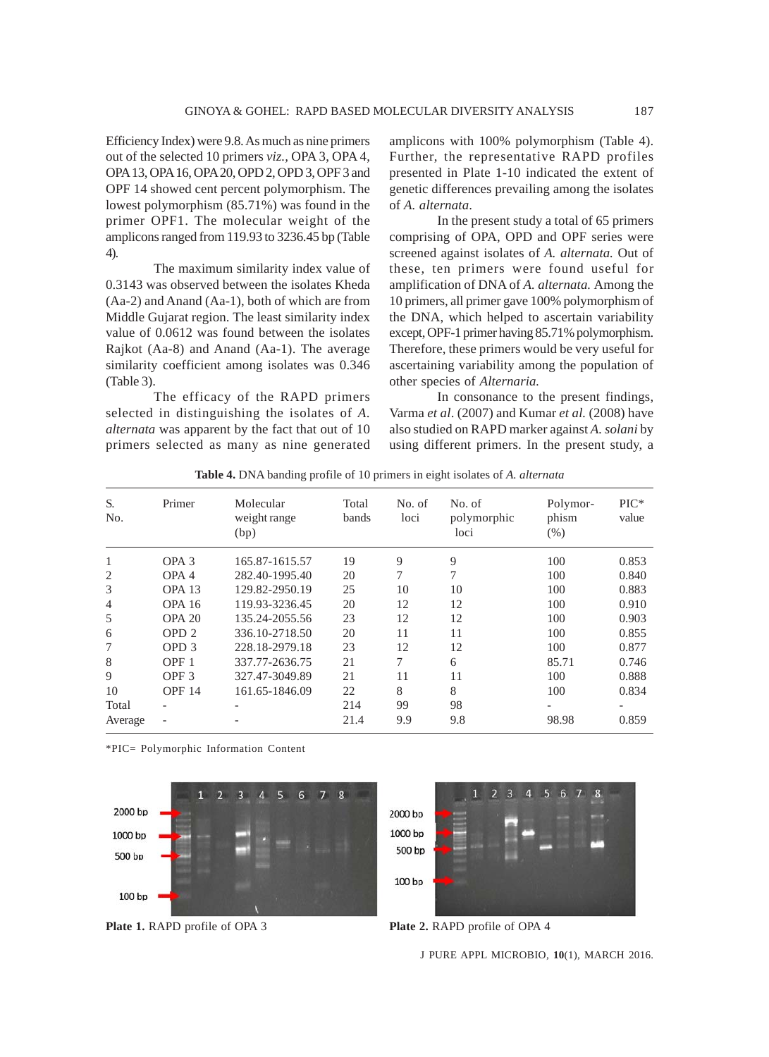Efficiency Index) were 9.8. As much as nine primers out of the selected 10 primers *viz.,* OPA 3, OPA 4, OPA 13, OPA 16, OPA 20, OPD 2, OPD 3, OPF 3 and OPF 14 showed cent percent polymorphism. The lowest polymorphism (85.71%) was found in the primer OPF1. The molecular weight of the amplicons ranged from 119.93 to 3236.45 bp (Table 4).

The maximum similarity index value of 0.3143 was observed between the isolates Kheda (Aa-2) and Anand (Aa-1), both of which are from Middle Gujarat region. The least similarity index value of 0.0612 was found between the isolates Rajkot (Aa-8) and Anand (Aa-1). The average similarity coefficient among isolates was 0.346 (Table 3).

The efficacy of the RAPD primers selected in distinguishing the isolates of *A. alternata* was apparent by the fact that out of 10 primers selected as many as nine generated

amplicons with 100% polymorphism (Table 4). Further, the representative RAPD profiles presented in Plate 1-10 indicated the extent of genetic differences prevailing among the isolates of *A. alternata*.

In the present study a total of 65 primers comprising of OPA, OPD and OPF series were screened against isolates of *A. alternata.* Out of these, ten primers were found useful for amplification of DNA of *A. alternata.* Among the 10 primers, all primer gave 100% polymorphism of the DNA, which helped to ascertain variability except, OPF-1 primer having 85.71% polymorphism. Therefore, these primers would be very useful for ascertaining variability among the population of other species of *Alternaria.*

In consonance to the present findings, Varma *et al*. (2007) and Kumar *et al.* (2008) have also studied on RAPD marker against *A. solani* by using different primers. In the present study, a

| S.<br>No.      | Primer            | Molecular<br>weight range<br>(bp) | Total<br>bands | No. of<br>loci | No. of<br>polymorphic<br>loci | Polymor-<br>phism<br>(% ) | $\rm{PIC}^*$<br>value |
|----------------|-------------------|-----------------------------------|----------------|----------------|-------------------------------|---------------------------|-----------------------|
| 1              | OPA <sub>3</sub>  | 165.87-1615.57                    | 19             | 9              | 9                             | 100                       | 0.853                 |
| 2              | OPA <sub>4</sub>  | 282.40-1995.40                    | 20             | 7              | 7                             | 100                       | 0.840                 |
| 3              | OPA <sub>13</sub> | 129.82-2950.19                    | 25             | 10             | 10                            | 100                       | 0.883                 |
| $\overline{4}$ | <b>OPA 16</b>     | 119.93-3236.45                    | 20             | 12             | 12                            | 100                       | 0.910                 |
| 5              | <b>OPA 20</b>     | 135.24-2055.56                    | 23             | 12             | 12                            | 100                       | 0.903                 |
| 6              | OPD <sub>2</sub>  | 336.10-2718.50                    | 20             | 11             | 11                            | 100                       | 0.855                 |
| 7              | OPD <sub>3</sub>  | 228.18-2979.18                    | 23             | 12             | 12                            | 100                       | 0.877                 |
| 8              | OPF <sub>1</sub>  | 337.77-2636.75                    | 21             | 7              | 6                             | 85.71                     | 0.746                 |
| 9              | OPF <sub>3</sub>  | 327.47-3049.89                    | 21             | 11             | 11                            | 100                       | 0.888                 |
| 10             | <b>OPF 14</b>     | 161.65-1846.09                    | 22             | 8              | 8                             | 100                       | 0.834                 |
| Total          |                   |                                   | 214            | 99             | 98                            |                           |                       |
| Average        |                   |                                   | 21.4           | 9.9            | 9.8                           | 98.98                     | 0.859                 |

**Table 4.** DNA banding profile of 10 primers in eight isolates of *A. alternata*

\*PIC= Polymorphic Information Content





**Plate 1.** RAPD profile of OPA 3 **Plate 2.** RAPD profile of OPA 4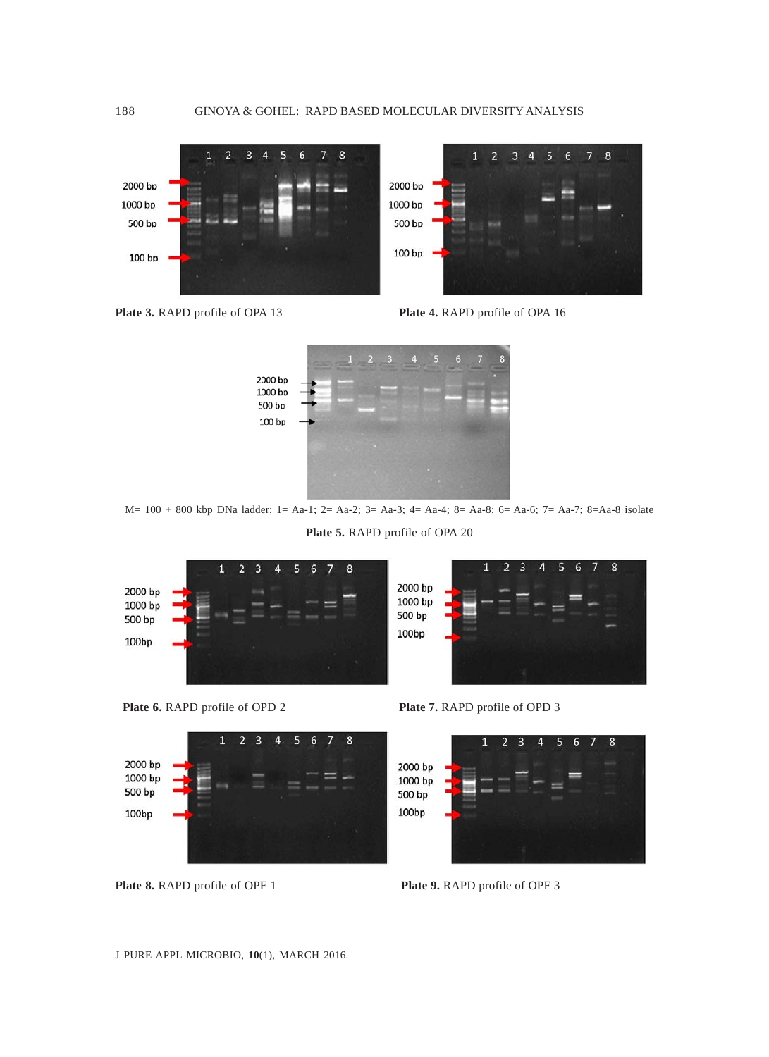







M= 100 + 800 kbp DNa ladder; 1= Aa-1; 2= Aa-2; 3= Aa-3; 4= Aa-4; 8= Aa-8; 6= Aa-6; 7= Aa-7; 8=Aa-8 isolate

**Plate 5.** RAPD profile of OPA 20









**Plate 8.** RAPD profile of OPF 1 **Plate 9.** RAPD profile of OPF 3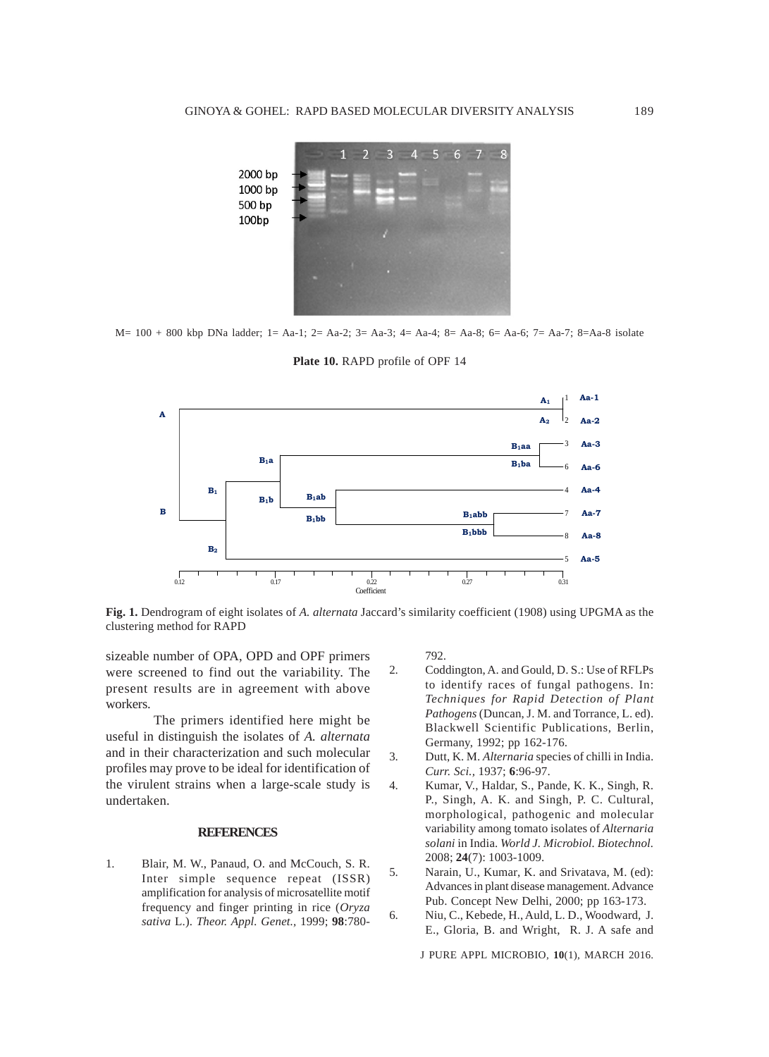

M= 100 + 800 kbp DNa ladder; 1= Aa-1; 2= Aa-2; 3= Aa-3; 4= Aa-4; 8= Aa-8; 6= Aa-6; 7= Aa-7; 8=Aa-8 isolate



**Plate 10.** RAPD profile of OPF 14

**Fig. 1.** Dendrogram of eight isolates of *A. alternata* Jaccard's similarity coefficient (1908) using UPGMA as the clustering method for RAPD

sizeable number of OPA, OPD and OPF primers were screened to find out the variability. The present results are in agreement with above workers.

The primers identified here might be useful in distinguish the isolates of *A. alternata* and in their characterization and such molecular profiles may prove to be ideal for identification of the virulent strains when a large-scale study is undertaken.

#### **REFERENCES**

1. Blair, M. W., Panaud, O. and McCouch, S. R. Inter simple sequence repeat (ISSR) amplification for analysis of microsatellite motif frequency and finger printing in rice (*Oryza sativa* L.). *Theor. Appl. Genet.,* 1999; **98**:780792.

- 2. Coddington, A. and Gould, D. S.: Use of RFLPs to identify races of fungal pathogens. In: *Techniques for Rapid Detection of Plant Pathogens* (Duncan, J. M. and Torrance, L. ed). Blackwell Scientific Publications, Berlin, Germany, 1992; pp 162-176.
- 3. Dutt, K. M. *Alternaria* species of chilli in India. *Curr. Sci.,* 1937; **6**:96-97.
- 4. Kumar, V., Haldar, S., Pande, K. K., Singh, R. P., Singh, A. K. and Singh, P. C. Cultural, morphological, pathogenic and molecular variability among tomato isolates of *Alternaria solani* in India. *World J. Microbiol. Biotechnol.* 2008; **24**(7): 1003-1009.
- 5. Narain, U., Kumar, K. and Srivatava, M. (ed): Advances in plant disease management. Advance Pub. Concept New Delhi, 2000; pp 163-173.
- 6. Niu, C., Kebede, H., Auld, L. D., Woodward, J. E., Gloria, B. and Wright, R. J. A safe and